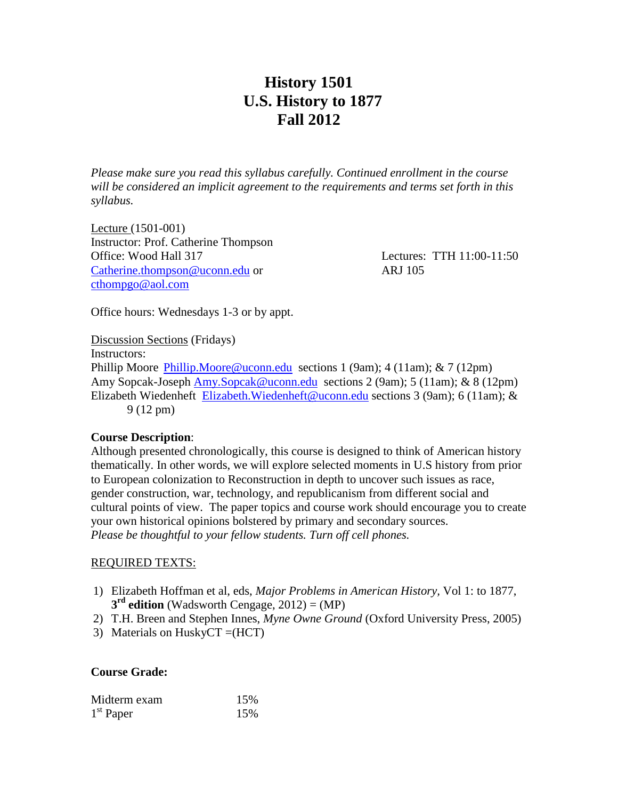## **History 1501 U.S. History to 1877 Fall 2012**

*Please make sure you read this syllabus carefully. Continued enrollment in the course will be considered an implicit agreement to the requirements and terms set forth in this syllabus.*

Lecture (1501-001) Instructor: Prof. Catherine Thompson Office: Wood Hall 317 Lectures: TTH 11:00-11:50 [Catherine.thompson@uconn.edu](mailto:Catherine.thompson@uconn.edu) or ARJ 105 [cthompgo@aol.com](mailto:cthompgo@aol.com)

Office hours: Wednesdays 1-3 or by appt.

Discussion Sections (Fridays) Instructors: Phillip Moore [Phillip.Moore@uconn.edu](mailto:Phillip.Moore@uconn.edu) sections 1 (9am); 4 (11am); & 7 (12pm) Amy Sopcak-Joseph [Amy.Sopcak@uconn.edu](mailto:Amy.Sopcak@uconn.edu) sections 2 (9am); 5 (11am); & 8 (12pm) Elizabeth Wiedenheft [Elizabeth.Wiedenheft@uconn.edu](mailto:Elizabeth.Wiedenheft@uconn.edu) sections 3 (9am); 6 (11am); & 9 (12 pm)

### **Course Description**:

Although presented chronologically, this course is designed to think of American history thematically. In other words, we will explore selected moments in U.S history from prior to European colonization to Reconstruction in depth to uncover such issues as race, gender construction, war, technology, and republicanism from different social and cultural points of view. The paper topics and course work should encourage you to create your own historical opinions bolstered by primary and secondary sources. *Please be thoughtful to your fellow students. Turn off cell phones.* 

### REQUIRED TEXTS:

- 1) Elizabeth Hoffman et al, eds, *Major Problems in American History,* Vol 1: to 1877, **3 rd edition** (Wadsworth Cengage, 2012) = (MP)
- 2) T.H. Breen and Stephen Innes, *Myne Owne Ground* (Oxford University Press, 2005)
- 3) Materials on HuskyCT =(HCT)

### **Course Grade:**

| Midterm exam | 15% |
|--------------|-----|
| $1st$ Paper  | 15% |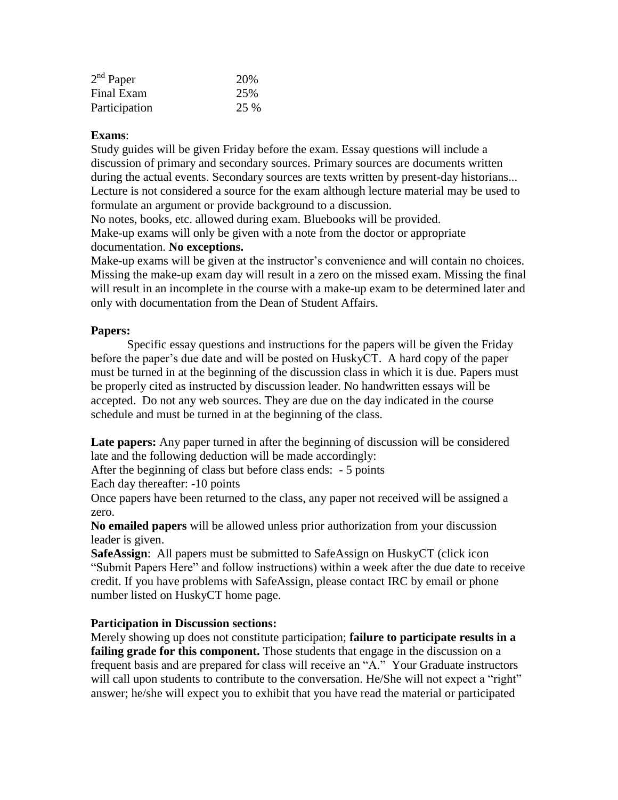| $2nd$ Paper   | 20%  |
|---------------|------|
| Final Exam    | 25%  |
| Participation | 25 % |

## **Exams**:

Study guides will be given Friday before the exam. Essay questions will include a discussion of primary and secondary sources. Primary sources are documents written during the actual events. Secondary sources are texts written by present-day historians... Lecture is not considered a source for the exam although lecture material may be used to formulate an argument or provide background to a discussion.

No notes, books, etc. allowed during exam. Bluebooks will be provided.

Make-up exams will only be given with a note from the doctor or appropriate documentation. **No exceptions.**

Make-up exams will be given at the instructor's convenience and will contain no choices. Missing the make-up exam day will result in a zero on the missed exam. Missing the final will result in an incomplete in the course with a make-up exam to be determined later and only with documentation from the Dean of Student Affairs.

## **Papers:**

Specific essay questions and instructions for the papers will be given the Friday before the paper's due date and will be posted on HuskyCT. A hard copy of the paper must be turned in at the beginning of the discussion class in which it is due. Papers must be properly cited as instructed by discussion leader. No handwritten essays will be accepted. Do not any web sources. They are due on the day indicated in the course schedule and must be turned in at the beginning of the class.

**Late papers:** Any paper turned in after the beginning of discussion will be considered late and the following deduction will be made accordingly:

After the beginning of class but before class ends: - 5 points

Each day thereafter: -10 points

Once papers have been returned to the class, any paper not received will be assigned a zero.

**No emailed papers** will be allowed unless prior authorization from your discussion leader is given.

**SafeAssign:** All papers must be submitted to SafeAssign on HuskyCT (click icon "Submit Papers Here" and follow instructions) within a week after the due date to receive credit. If you have problems with SafeAssign, please contact IRC by email or phone number listed on HuskyCT home page.

## **Participation in Discussion sections:**

Merely showing up does not constitute participation; **failure to participate results in a failing grade for this component.** Those students that engage in the discussion on a frequent basis and are prepared for class will receive an "A." Your Graduate instructors will call upon students to contribute to the conversation. He/She will not expect a "right" answer; he/she will expect you to exhibit that you have read the material or participated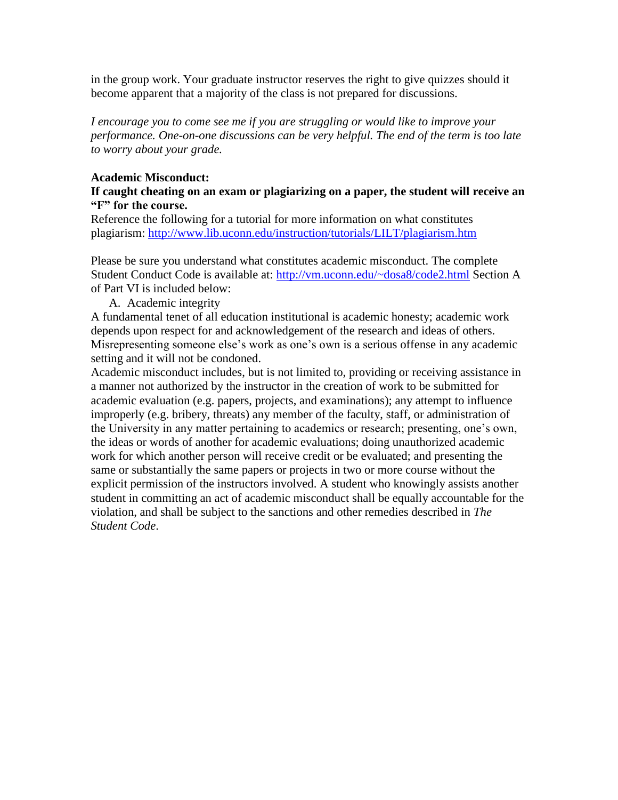in the group work. Your graduate instructor reserves the right to give quizzes should it become apparent that a majority of the class is not prepared for discussions.

*I encourage you to come see me if you are struggling or would like to improve your performance. One-on-one discussions can be very helpful. The end of the term is too late to worry about your grade.*

## **Academic Misconduct:**

## **If caught cheating on an exam or plagiarizing on a paper, the student will receive an "F" for the course.**

Reference the following for a tutorial for more information on what constitutes plagiarism:<http://www.lib.uconn.edu/instruction/tutorials/LILT/plagiarism.htm>

Please be sure you understand what constitutes academic misconduct. The complete Student Conduct Code is available at:<http://vm.uconn.edu/~dosa8/code2.html> Section A of Part VI is included below:

A. Academic integrity

A fundamental tenet of all education institutional is academic honesty; academic work depends upon respect for and acknowledgement of the research and ideas of others. Misrepresenting someone else's work as one's own is a serious offense in any academic setting and it will not be condoned.

Academic misconduct includes, but is not limited to, providing or receiving assistance in a manner not authorized by the instructor in the creation of work to be submitted for academic evaluation (e.g. papers, projects, and examinations); any attempt to influence improperly (e.g. bribery, threats) any member of the faculty, staff, or administration of the University in any matter pertaining to academics or research; presenting, one's own, the ideas or words of another for academic evaluations; doing unauthorized academic work for which another person will receive credit or be evaluated; and presenting the same or substantially the same papers or projects in two or more course without the explicit permission of the instructors involved. A student who knowingly assists another student in committing an act of academic misconduct shall be equally accountable for the violation, and shall be subject to the sanctions and other remedies described in *The Student Code*.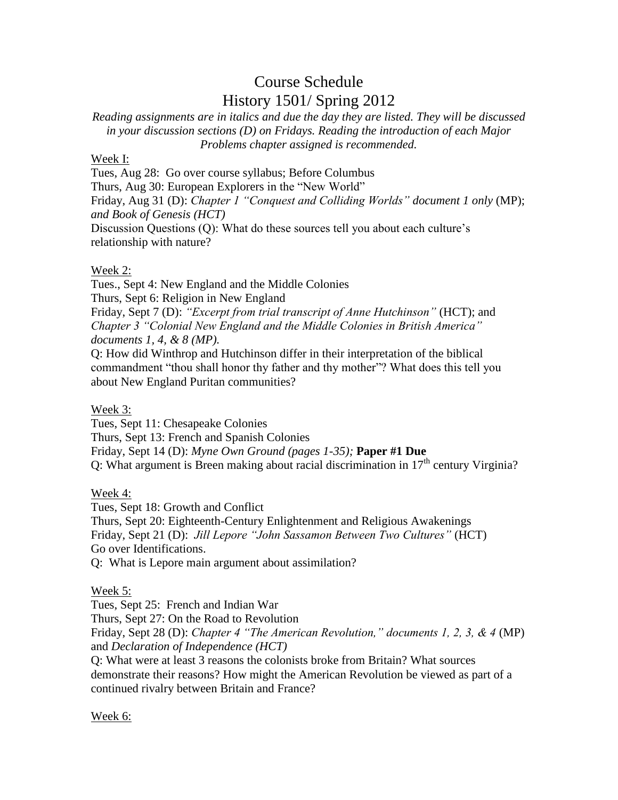# Course Schedule History 1501/ Spring 2012

*Reading assignments are in italics and due the day they are listed. They will be discussed in your discussion sections (D) on Fridays. Reading the introduction of each Major Problems chapter assigned is recommended.*

## Week I:

Tues, Aug 28: Go over course syllabus; Before Columbus

Thurs, Aug 30: European Explorers in the "New World"

Friday, Aug 31 (D): *Chapter 1 "Conquest and Colliding Worlds" document 1 only* (MP); *and Book of Genesis (HCT)*

Discussion Questions (Q): What do these sources tell you about each culture's relationship with nature?

## Week 2:

Tues., Sept 4: New England and the Middle Colonies

Thurs, Sept 6: Religion in New England

Friday, Sept 7 (D): *"Excerpt from trial transcript of Anne Hutchinson"* (HCT); and *Chapter 3 "Colonial New England and the Middle Colonies in British America" documents 1, 4, & 8 (MP).*

Q: How did Winthrop and Hutchinson differ in their interpretation of the biblical commandment "thou shall honor thy father and thy mother"? What does this tell you about New England Puritan communities?

## Week 3:

Tues, Sept 11: Chesapeake Colonies Thurs, Sept 13: French and Spanish Colonies Friday, Sept 14 (D): *Myne Own Ground (pages 1-35);* **Paper #1 Due**  Q: What argument is Breen making about racial discrimination in  $17<sup>th</sup>$  century Virginia?

Week 4:

Tues, Sept 18: Growth and Conflict Thurs, Sept 20: Eighteenth-Century Enlightenment and Religious Awakenings Friday, Sept 21 (D): *Jill Lepore "John Sassamon Between Two Cultures"* (HCT) Go over Identifications. Q: What is Lepore main argument about assimilation?

### Week 5:

Tues, Sept 25: French and Indian War Thurs, Sept 27: On the Road to Revolution Friday, Sept 28 (D): *Chapter 4 "The American Revolution," documents 1, 2, 3, & 4* (MP) and *Declaration of Independence (HCT)* Q: What were at least 3 reasons the colonists broke from Britain? What sources

demonstrate their reasons? How might the American Revolution be viewed as part of a continued rivalry between Britain and France?

### Week 6: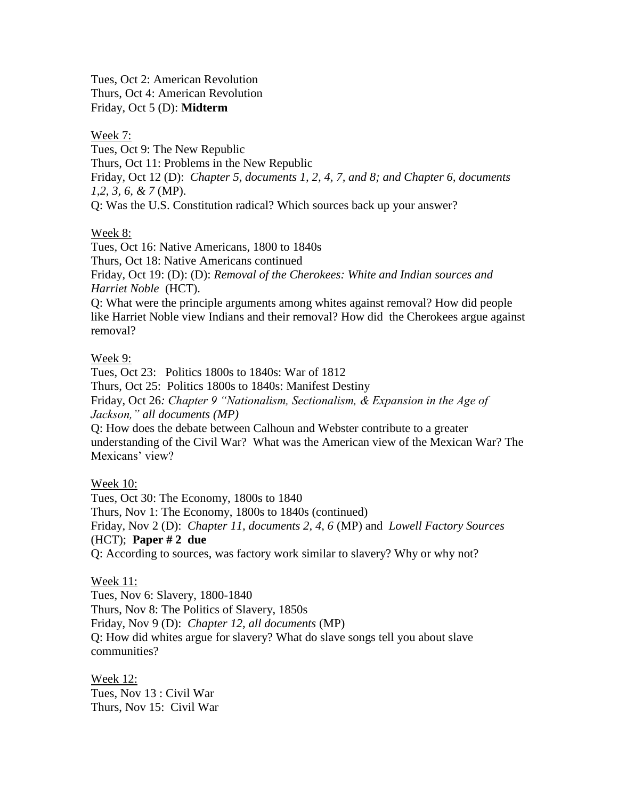Tues, Oct 2: American Revolution Thurs, Oct 4: American Revolution Friday, Oct 5 (D): **Midterm**

#### Week 7:

Tues, Oct 9: The New Republic Thurs, Oct 11: Problems in the New Republic Friday, Oct 12 (D): *Chapter 5, documents 1, 2, 4, 7, and 8; and Chapter 6, documents 1,2, 3, 6, & 7* (MP). Q: Was the U.S. Constitution radical? Which sources back up your answer?

## Week 8:

Tues, Oct 16: Native Americans, 1800 to 1840s Thurs, Oct 18: Native Americans continued Friday, Oct 19: (D): (D): *Removal of the Cherokees: White and Indian sources and Harriet Noble* (HCT). Q: What were the principle arguments among whites against removal? How did people like Harriet Noble view Indians and their removal? How did the Cherokees argue against removal?

## Week 9:

Tues, Oct 23: Politics 1800s to 1840s: War of 1812 Thurs, Oct 25: Politics 1800s to 1840s: Manifest Destiny Friday, Oct 26*: Chapter 9 "Nationalism, Sectionalism, & Expansion in the Age of Jackson," all documents (MP)* Q: How does the debate between Calhoun and Webster contribute to a greater understanding of the Civil War? What was the American view of the Mexican War? The Mexicans' view?

## Week 10:

Tues, Oct 30: The Economy, 1800s to 1840 Thurs, Nov 1: The Economy, 1800s to 1840s (continued) Friday, Nov 2 (D): *Chapter 11, documents 2, 4, 6* (MP) and *Lowell Factory Sources*  (HCT); **Paper # 2 due** Q: According to sources, was factory work similar to slavery? Why or why not?

### Week 11:

Tues, Nov 6: Slavery, 1800-1840 Thurs, Nov 8: The Politics of Slavery, 1850s Friday, Nov 9 (D): *Chapter 12, all documents* (MP) Q: How did whites argue for slavery? What do slave songs tell you about slave communities?

Week 12: Tues, Nov 13 : Civil War Thurs, Nov 15: Civil War